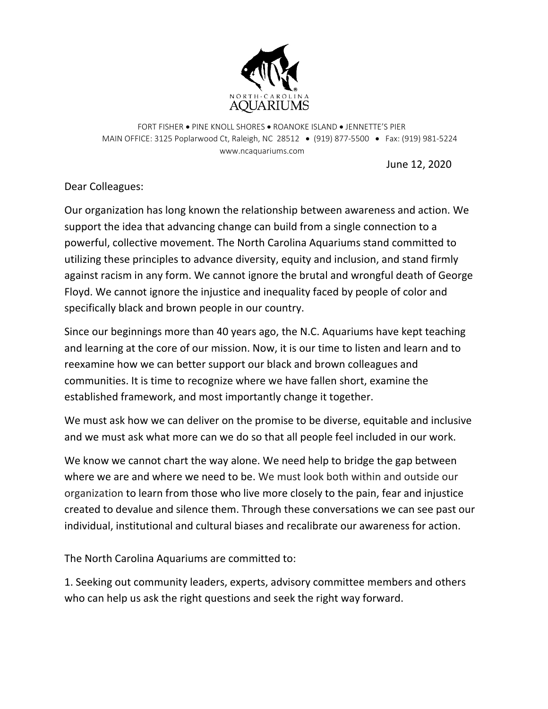

FORT FISHER • PINE KNOLL SHORES • ROANOKE ISLAND • JENNETTE'S PIER MAIN OFFICE: 3125 Poplarwood Ct, Raleigh, NC 28512 • (919) 877-5500 • Fax: (919) 981-5224 www.ncaquariums.com

June 12, 2020

Dear Colleagues:

Our organization has long known the relationship between awareness and action. We support the idea that advancing change can build from a single connection to a powerful, collective movement. The North Carolina Aquariums stand committed to utilizing these principles to advance diversity, equity and inclusion, and stand firmly against racism in any form. We cannot ignore the brutal and wrongful death of George Floyd. We cannot ignore the injustice and inequality faced by people of color and specifically black and brown people in our country.

Since our beginnings more than 40 years ago, the N.C. Aquariums have kept teaching and learning at the core of our mission. Now, it is our time to listen and learn and to reexamine how we can better support our black and brown colleagues and communities. It is time to recognize where we have fallen short, examine the established framework, and most importantly change it together.

We must ask how we can deliver on the promise to be diverse, equitable and inclusive and we must ask what more can we do so that all people feel included in our work.

We know we cannot chart the way alone. We need help to bridge the gap between where we are and where we need to be. We must look both within and outside our organization to learn from those who live more closely to the pain, fear and injustice created to devalue and silence them. Through these conversations we can see past our individual, institutional and cultural biases and recalibrate our awareness for action.

The North Carolina Aquariums are committed to:

1. Seeking out community leaders, experts, advisory committee members and others who can help us ask the right questions and seek the right way forward.